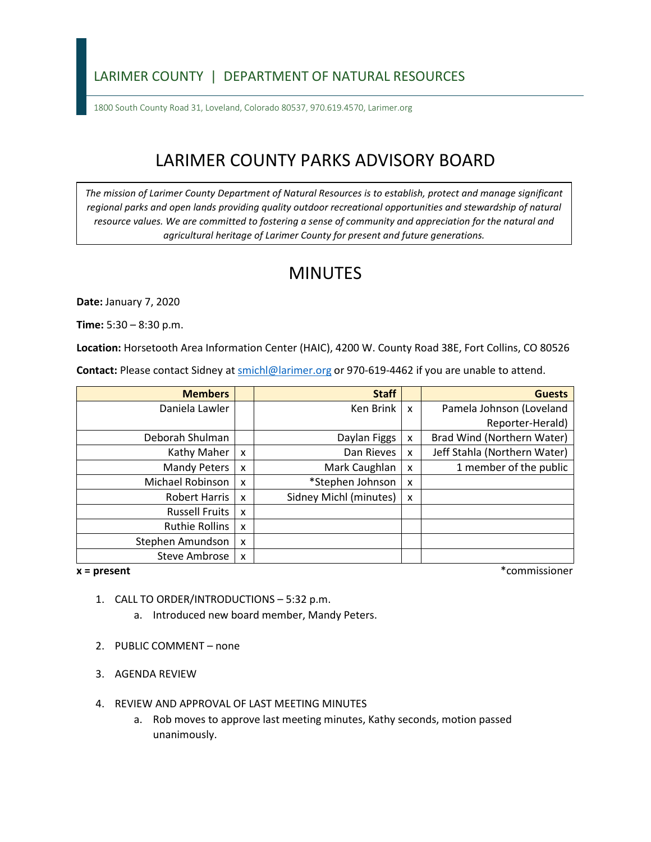### LARIMER COUNTY | DEPARTMENT OF NATURAL RESOURCES

1800 South County Road 31, Loveland, Colorado 80537, 970.619.4570, Larimer.org

# LARIMER COUNTY PARKS ADVISORY BOARD

*The mission of Larimer County Department of Natural Resources is to establish, protect and manage significant*  regional parks and open lands providing quality outdoor recreational opportunities and stewardship of natural *resource values. We are committed to fostering a sense of community and appreciation for the natural and agricultural heritage of Larimer County for present and future generations.* 

## MINUTES

**Date:** January 7, 2020

**Time:** 5:30 – 8:30 p.m.

**Location:** Horsetooth Area Information Center (HAIC), 4200 W. County Road 38E, Fort Collins, CO 80526

Contact: Please contact Sidney at **smichl@larimer.org** or 970-619-4462 if you are unable to attend.

| <b>Members</b>        |   | <b>Staff</b>           |                           | <b>Guests</b>                |
|-----------------------|---|------------------------|---------------------------|------------------------------|
| Daniela Lawler        |   | Ken Brink              | $\boldsymbol{\mathsf{x}}$ | Pamela Johnson (Loveland     |
|                       |   |                        |                           | Reporter-Herald)             |
| Deborah Shulman       |   | Daylan Figgs           | X                         | Brad Wind (Northern Water)   |
| Kathy Maher           | X | Dan Rieves             | X                         | Jeff Stahla (Northern Water) |
| <b>Mandy Peters</b>   | X | Mark Caughlan          | X                         | 1 member of the public       |
| Michael Robinson      | X | *Stephen Johnson       | X                         |                              |
| <b>Robert Harris</b>  | X | Sidney Michl (minutes) | $\boldsymbol{\mathsf{x}}$ |                              |
| <b>Russell Fruits</b> | X |                        |                           |                              |
| <b>Ruthie Rollins</b> | X |                        |                           |                              |
| Stephen Amundson      | X |                        |                           |                              |
| Steve Ambrose         | X |                        |                           |                              |

 $x = present$ 

**x = present** \*commissioner

- 1. CALL TO ORDER/INTRODUCTIONS 5:32 p.m.
	- a. Introduced new board member, Mandy Peters.
- 2. PUBLIC COMMENT none
- 3. AGENDA REVIEW
- 4. REVIEW AND APPROVAL OF LAST MEETING MINUTES
	- a. Rob moves to approve last meeting minutes, Kathy seconds, motion passed unanimously.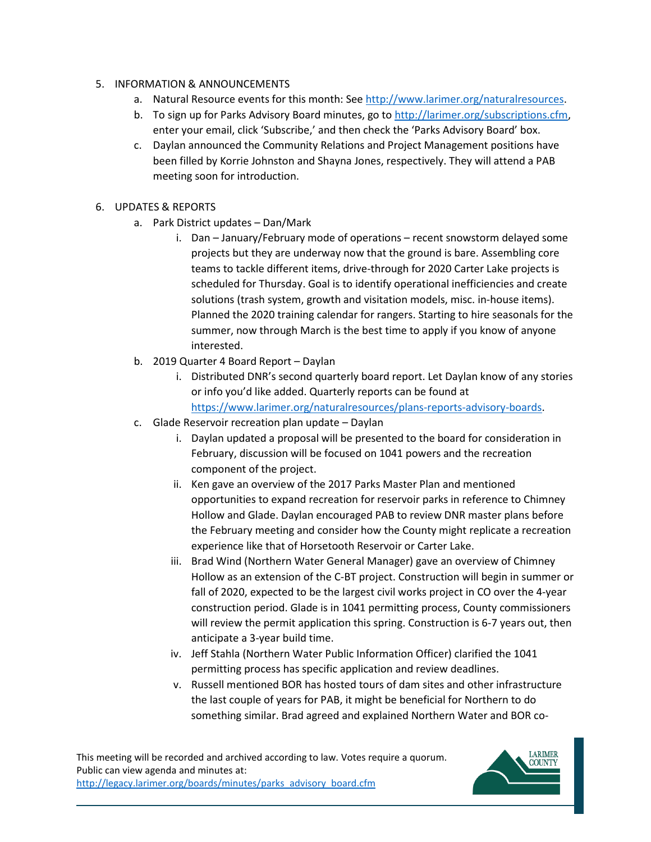- 5. INFORMATION & ANNOUNCEMENTS
	- a. Natural Resource events for this month: See [http://www.larimer.org/naturalresources.](http://www.larimer.org/naturalresources)
	- b. To sign up for Parks Advisory Board minutes, go to [http://larimer.org/subscriptions.cfm,](http://larimer.org/subscriptions.cfm) enter your email, click 'Subscribe,' and then check the 'Parks Advisory Board' box.
	- c. Daylan announced the Community Relations and Project Management positions have been filled by Korrie Johnston and Shayna Jones, respectively. They will attend a PAB meeting soon for introduction.
- 6. UPDATES & REPORTS
	- a. Park District updates Dan/Mark
		- teams to tackle different items, drive-through for 2020 Carter Lake projects is summer, now through March is the best time to apply if you know of anyone i. Dan – January/February mode of operations – recent snowstorm delayed some projects but they are underway now that the ground is bare. Assembling core scheduled for Thursday. Goal is to identify operational inefficiencies and create solutions (trash system, growth and visitation models, misc. in-house items). Planned the 2020 training calendar for rangers. Starting to hire seasonals for the interested.
	- b. 2019 Quarter 4 Board Report Daylan
		- i. Distributed DNR's second quarterly board report. Let Daylan know of any stories or info you'd like added. Quarterly reports can be found at [https://www.larimer.org/naturalresources/plans-reports-advisory-boards.](https://www.larimer.org/naturalresources/plans-reports-advisory-boards)
	- c. Glade Reservoir recreation plan update Daylan
		- i. Daylan updated a proposal will be presented to the board for consideration in February, discussion will be focused on 1041 powers and the recreation component of the project.
		- Hollow and Glade. Daylan encouraged PAB to review DNR master plans before the February meeting and consider how the County might replicate a recreation experience like that of Horsetooth Reservoir or Carter Lake. ii. Ken gave an overview of the 2017 Parks Master Plan and mentioned opportunities to expand recreation for reservoir parks in reference to Chimney
		- iii. Brad Wind (Northern Water General Manager) gave an overview of Chimney Hollow as an extension of the C-BT project. Construction will begin in summer or fall of 2020, expected to be the largest civil works project in CO over the 4-year construction period. Glade is in 1041 permitting process, County commissioners will review the permit application this spring. Construction is 6-7 years out, then anticipate a 3-year build time.
		- iv. Jeff Stahla (Northern Water Public Information Officer) clarified the 1041 permitting process has specific application and review deadlines.
		- v. Russell mentioned BOR has hosted tours of dam sites and other infrastructure the last couple of years for PAB, it might be beneficial for Northern to do something similar. Brad agreed and explained Northern Water and BOR co-

This meeting will be recorded and archived according to law. Votes require a quorum. Public can view agenda and minutes at: http://legacy.larimer.org/boards/minutes/parks\_advisory\_board.cfm

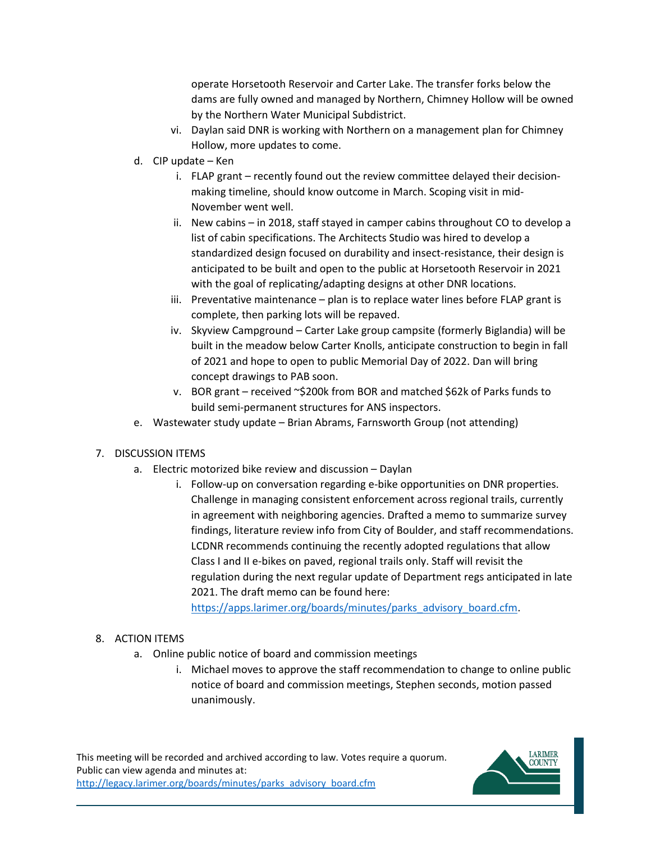dams are fully owned and managed by Northern, Chimney Hollow will be owned operate Horsetooth Reservoir and Carter Lake. The transfer forks below the by the Northern Water Municipal Subdistrict.

- vi. Daylan said DNR is working with Northern on a management plan for Chimney Hollow, more updates to come.
- d. CIP update Ken
	- i. FLAP grant recently found out the review committee delayed their decisionmaking timeline, should know outcome in March. Scoping visit in mid-November went well.
	- list of cabin specifications. The Architects Studio was hired to develop a anticipated to be built and open to the public at Horsetooth Reservoir in 2021 with the goal of replicating/adapting designs at other DNR locations. ii. New cabins – in 2018, staff stayed in camper cabins throughout CO to develop a standardized design focused on durability and insect-resistance, their design is
	- complete, then parking lots will be repaved. iii. Preventative maintenance – plan is to replace water lines before FLAP grant is
	- iv. Skyview Campground Carter Lake group campsite (formerly Biglandia) will be built in the meadow below Carter Knolls, anticipate construction to begin in fall of 2021 and hope to open to public Memorial Day of 2022. Dan will bring concept drawings to PAB soon.
	- v. BOR grant received ~\$200k from BOR and matched \$62k of Parks funds to build semi-permanent structures for ANS inspectors.
- e. Wastewater study update Brian Abrams, Farnsworth Group (not attending)

### 7. DISCUSSION ITEMS

- a. Electric motorized bike review and discussion Daylan
	- i. Follow-up on conversation regarding e-bike opportunities on DNR properties. Challenge in managing consistent enforcement across regional trails, currently LCDNR recommends continuing the recently adopted regulations that allow in agreement with neighboring agencies. Drafted a memo to summarize survey findings, literature review info from City of Boulder, and staff recommendations. Class I and II e-bikes on paved, regional trails only. Staff will revisit the regulation during the next regular update of Department regs anticipated in late 2021. The draft memo can be found here:

[https://apps.larimer.org/boards/minutes/parks\\_advisory\\_board.cfm.](https://apps.larimer.org/boards/minutes/parks_advisory_board.cfm)

#### 8. ACTION ITEMS

- a. Online public notice of board and commission meetings
	- i. Michael moves to approve the staff recommendation to change to online public notice of board and commission meetings, Stephen seconds, motion passed unanimously.

This meeting will be recorded and archived according to law. Votes require a quorum. Public can view agenda and minutes at: http://legacy.larimer.org/boards/minutes/parks\_advisory\_board.cfm